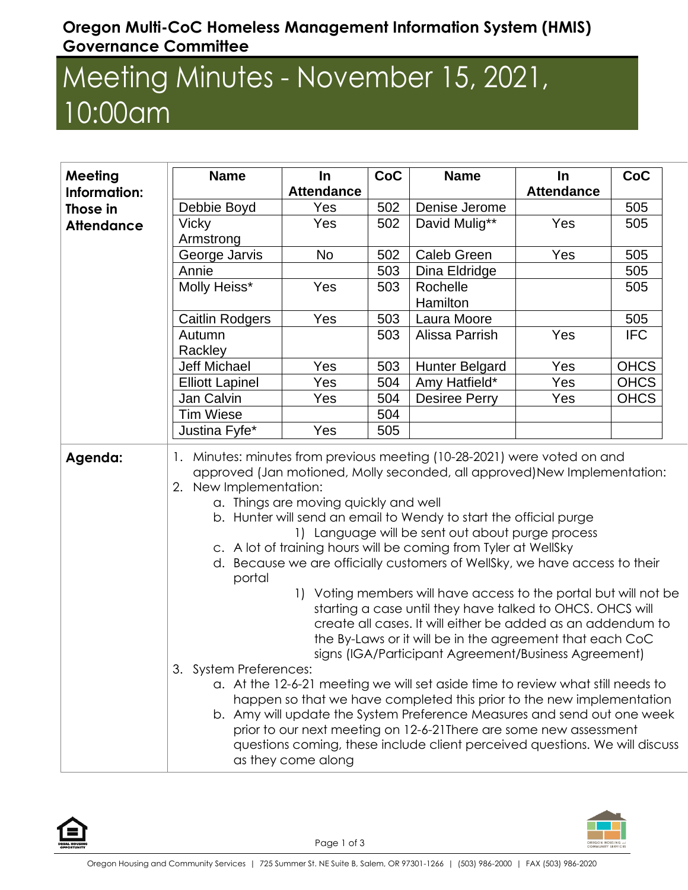## **Oregon Multi-CoC Homeless Management Information System (HMIS) Governance Committee**

## Meeting Minutes - November 15, 2021, 10:00am

| <b>Meeting</b><br>Information:<br>Those in<br><b>Attendance</b> | <b>Name</b>                                                                                                                                                                                                                                                                                                                                                                                                                                                                                                                                                                                                                                                                                                                                                                                                                                                                                                                                                                                                                                                                                                                                                                                                                                                                | In.               | <b>CoC</b> | <b>Name</b>           | In                | CoC         |
|-----------------------------------------------------------------|----------------------------------------------------------------------------------------------------------------------------------------------------------------------------------------------------------------------------------------------------------------------------------------------------------------------------------------------------------------------------------------------------------------------------------------------------------------------------------------------------------------------------------------------------------------------------------------------------------------------------------------------------------------------------------------------------------------------------------------------------------------------------------------------------------------------------------------------------------------------------------------------------------------------------------------------------------------------------------------------------------------------------------------------------------------------------------------------------------------------------------------------------------------------------------------------------------------------------------------------------------------------------|-------------------|------------|-----------------------|-------------------|-------------|
|                                                                 |                                                                                                                                                                                                                                                                                                                                                                                                                                                                                                                                                                                                                                                                                                                                                                                                                                                                                                                                                                                                                                                                                                                                                                                                                                                                            | <b>Attendance</b> |            |                       | <b>Attendance</b> |             |
|                                                                 | Debbie Boyd                                                                                                                                                                                                                                                                                                                                                                                                                                                                                                                                                                                                                                                                                                                                                                                                                                                                                                                                                                                                                                                                                                                                                                                                                                                                | Yes               | 502        | Denise Jerome         |                   | 505         |
|                                                                 | <b>Vicky</b><br>Armstrong                                                                                                                                                                                                                                                                                                                                                                                                                                                                                                                                                                                                                                                                                                                                                                                                                                                                                                                                                                                                                                                                                                                                                                                                                                                  | Yes               | 502        | David Mulig**         | Yes               | 505         |
|                                                                 | George Jarvis                                                                                                                                                                                                                                                                                                                                                                                                                                                                                                                                                                                                                                                                                                                                                                                                                                                                                                                                                                                                                                                                                                                                                                                                                                                              | <b>No</b>         | 502        | <b>Caleb Green</b>    | Yes               | 505         |
|                                                                 | Annie                                                                                                                                                                                                                                                                                                                                                                                                                                                                                                                                                                                                                                                                                                                                                                                                                                                                                                                                                                                                                                                                                                                                                                                                                                                                      |                   | 503        | Dina Eldridge         |                   | 505         |
|                                                                 | Molly Heiss*                                                                                                                                                                                                                                                                                                                                                                                                                                                                                                                                                                                                                                                                                                                                                                                                                                                                                                                                                                                                                                                                                                                                                                                                                                                               | Yes               | 503        | Rochelle<br>Hamilton  |                   | 505         |
|                                                                 | <b>Caitlin Rodgers</b>                                                                                                                                                                                                                                                                                                                                                                                                                                                                                                                                                                                                                                                                                                                                                                                                                                                                                                                                                                                                                                                                                                                                                                                                                                                     | Yes               | 503        | Laura Moore           |                   | 505         |
|                                                                 | Autumn<br>Rackley                                                                                                                                                                                                                                                                                                                                                                                                                                                                                                                                                                                                                                                                                                                                                                                                                                                                                                                                                                                                                                                                                                                                                                                                                                                          |                   | 503        | Alissa Parrish        | Yes               | <b>IFC</b>  |
|                                                                 | Jeff Michael                                                                                                                                                                                                                                                                                                                                                                                                                                                                                                                                                                                                                                                                                                                                                                                                                                                                                                                                                                                                                                                                                                                                                                                                                                                               | Yes               | 503        | <b>Hunter Belgard</b> | Yes               | <b>OHCS</b> |
|                                                                 | <b>Elliott Lapinel</b>                                                                                                                                                                                                                                                                                                                                                                                                                                                                                                                                                                                                                                                                                                                                                                                                                                                                                                                                                                                                                                                                                                                                                                                                                                                     | Yes               | 504        | Amy Hatfield*         | Yes               | <b>OHCS</b> |
|                                                                 | Jan Calvin                                                                                                                                                                                                                                                                                                                                                                                                                                                                                                                                                                                                                                                                                                                                                                                                                                                                                                                                                                                                                                                                                                                                                                                                                                                                 | Yes               | 504        | <b>Desiree Perry</b>  | Yes               | <b>OHCS</b> |
|                                                                 | <b>Tim Wiese</b>                                                                                                                                                                                                                                                                                                                                                                                                                                                                                                                                                                                                                                                                                                                                                                                                                                                                                                                                                                                                                                                                                                                                                                                                                                                           |                   | 504        |                       |                   |             |
|                                                                 | Justina Fyfe*                                                                                                                                                                                                                                                                                                                                                                                                                                                                                                                                                                                                                                                                                                                                                                                                                                                                                                                                                                                                                                                                                                                                                                                                                                                              | Yes               | 505        |                       |                   |             |
|                                                                 | 1. Minutes: minutes from previous meeting (10-28-2021) were voted on and<br>approved (Jan motioned, Molly seconded, all approved) New Implementation:<br>2. New Implementation:<br>a. Things are moving quickly and well<br>b. Hunter will send an email to Wendy to start the official purge<br>1) Language will be sent out about purge process<br>c. A lot of training hours will be coming from Tyler at WellSky<br>d. Because we are officially customers of WellSky, we have access to their<br>portal<br>1) Voting members will have access to the portal but will not be<br>starting a case until they have talked to OHCS. OHCS will<br>create all cases. It will either be added as an addendum to<br>the By-Laws or it will be in the agreement that each CoC<br>signs (IGA/Participant Agreement/Business Agreement)<br>3. System Preferences:<br>a. At the 12-6-21 meeting we will set aside time to review what still needs to<br>happen so that we have completed this prior to the new implementation<br>b. Amy will update the System Preference Measures and send out one week<br>prior to our next meeting on 12-6-21There are some new assessment<br>questions coming, these include client perceived questions. We will discuss<br>as they come along |                   |            |                       |                   |             |

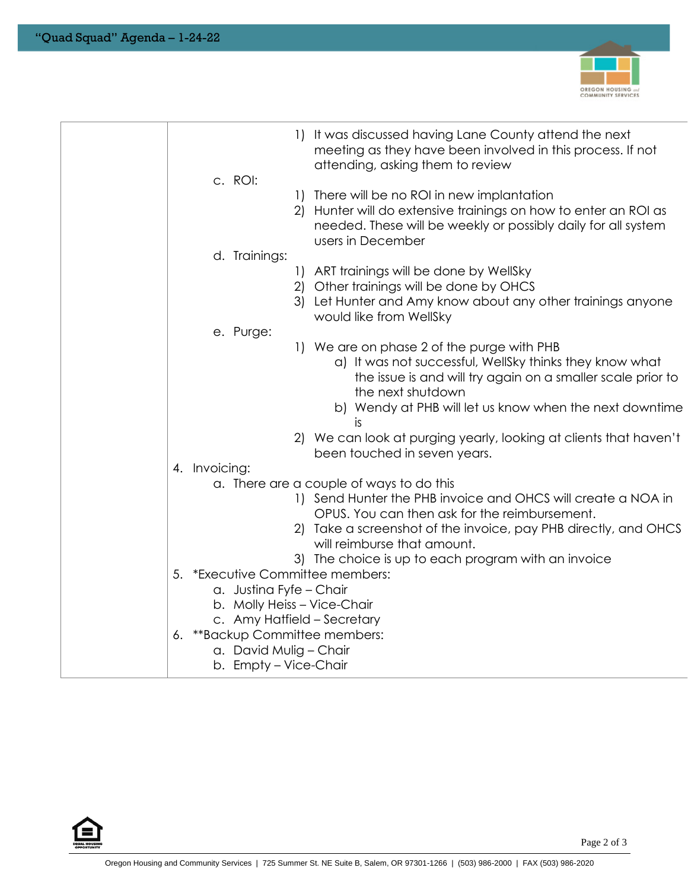

| It was discussed having Lane County attend the next<br>$\Box$<br>meeting as they have been involved in this process. If not<br>attending, asking them to review<br>c. ROI:                              |  |
|---------------------------------------------------------------------------------------------------------------------------------------------------------------------------------------------------------|--|
| 1) There will be no ROI in new implantation<br>Hunter will do extensive trainings on how to enter an ROI as<br>2)<br>needed. These will be weekly or possibly daily for all system<br>users in December |  |
| d. Trainings:                                                                                                                                                                                           |  |
| 1) ART trainings will be done by WellSky<br>2) Other trainings will be done by OHCS<br>3) Let Hunter and Amy know about any other trainings anyone<br>would like from WellSky                           |  |
| e. Purge:                                                                                                                                                                                               |  |
| 1) We are on phase 2 of the purge with PHB<br>a) It was not successful, WellSky thinks they know what<br>the issue is and will try again on a smaller scale prior to<br>the next shutdown               |  |
| b) Wendy at PHB will let us know when the next downtime<br>is                                                                                                                                           |  |
| 2) We can look at purging yearly, looking at clients that haven't<br>been touched in seven years.                                                                                                       |  |
| 4. Invoicing:                                                                                                                                                                                           |  |
| a. There are a couple of ways to do this                                                                                                                                                                |  |
| 1) Send Hunter the PHB invoice and OHCS will create a NOA in                                                                                                                                            |  |
| OPUS. You can then ask for the reimbursement.                                                                                                                                                           |  |
| 2) Take a screenshot of the invoice, pay PHB directly, and OHCS<br>will reimburse that amount.                                                                                                          |  |
| 3) The choice is up to each program with an invoice                                                                                                                                                     |  |
| 5. *Executive Committee members:                                                                                                                                                                        |  |
| a. Justina Fyfe - Chair                                                                                                                                                                                 |  |
| b. Molly Heiss - Vice-Chair                                                                                                                                                                             |  |
| c. Amy Hatfield - Secretary                                                                                                                                                                             |  |
| 6. ** Backup Committee members:<br>a. David Mulig - Chair                                                                                                                                               |  |
| b. Empty – Vice-Chair                                                                                                                                                                                   |  |
|                                                                                                                                                                                                         |  |